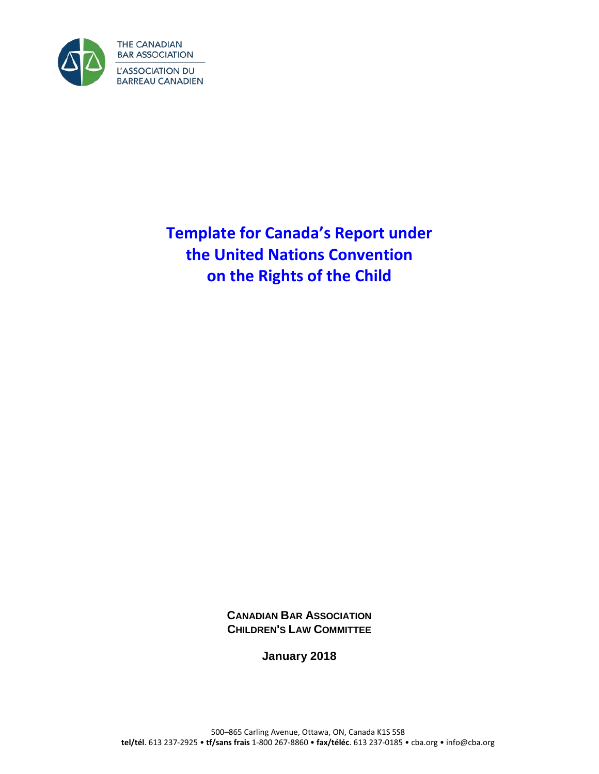

**Template for Canada's Report under the United Nations Convention on the Rights of the Child**

> **CANADIAN BAR ASSOCIATION CHILDREN'S LAW COMMITTEE**

> > **January 2018**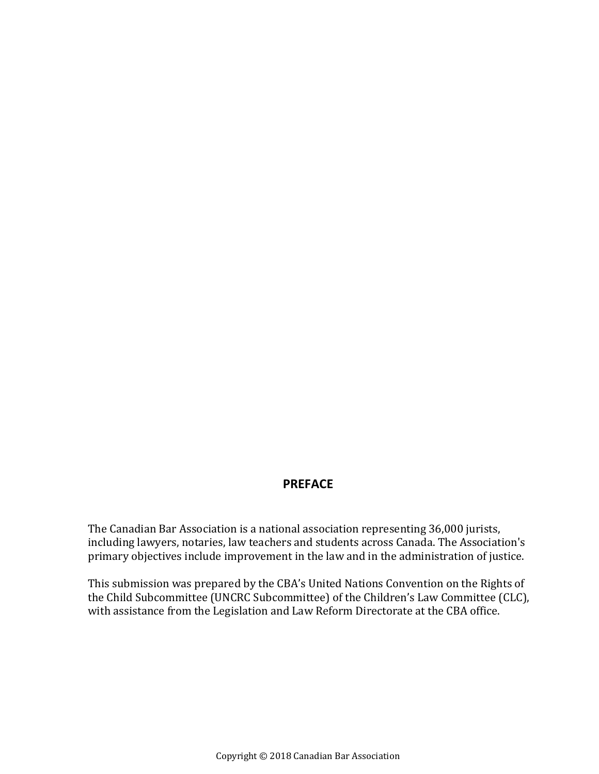### **PREFACE**

The Canadian Bar Association is a national association representing 36,000 jurists, including lawyers, notaries, law teachers and students across Canada. The Association's primary objectives include improvement in the law and in the administration of justice.

This submission was prepared by the CBA's United Nations Convention on the Rights of the Child Subcommittee (UNCRC Subcommittee) of the Children's Law Committee (CLC), with assistance from the Legislation and Law Reform Directorate at the CBA office.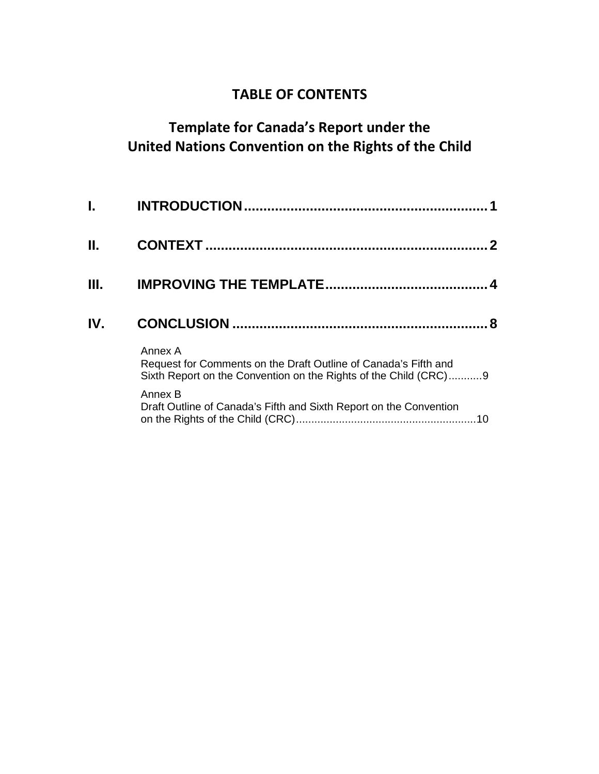# **TABLE OF CONTENTS**

# **Template for Canada's Report under the United Nations Convention on the Rights of the Child**

| L.   |                                                                                                                                                |
|------|------------------------------------------------------------------------------------------------------------------------------------------------|
| Н.   |                                                                                                                                                |
| III. |                                                                                                                                                |
| IV.  | 8                                                                                                                                              |
|      | Annex A<br>Request for Comments on the Draft Outline of Canada's Fifth and<br>Sixth Report on the Convention on the Rights of the Child (CRC)9 |
|      | Annex B<br>Draft Outline of Canada's Fifth and Sixth Report on the Convention                                                                  |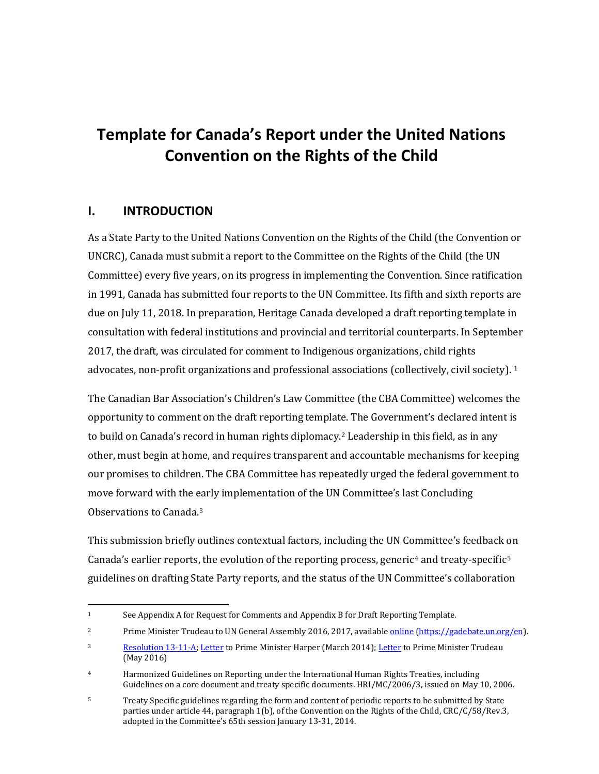# **Template for Canada's Report under the United Nations Convention on the Rights of the Child**

### <span id="page-4-0"></span>**I. INTRODUCTION**

As a State Party to the United Nations Convention on the Rights of the Child (the Convention or UNCRC), Canada must submit a report to the Committee on the Rights of the Child (the UN Committee) every five years, on its progress in implementing the Convention. Since ratification in 1991, Canada has submitted four reports to the UN Committee. Its fifth and sixth reports are due on July 11, 2018. In preparation, Heritage Canada developed a draft reporting template in consultation with federal institutions and provincial and territorial counterparts. In September 2017, the draft, was circulated for comment to Indigenous organizations, child rights advocates, non-profit organizations and professional associations (collectively, civil society). [1](#page-4-1)

The Canadian Bar Association's Children's Law Committee (the CBA Committee) welcomes the opportunity to comment on the draft reporting template. The Government's declared intent is to build on Canada's record in human rights diplomacy.[2](#page-4-2) Leadership in this field, as in any other, must begin at home, and requires transparent and accountable mechanisms for keeping our promises to children. The CBA Committee has repeatedly urged the federal government to move forward with the early implementation of the UN Committee's last Concluding Observations to Canada.[3](#page-4-3)

This submission briefly outlines contextual factors, including the UN Committee's feedback on Canada's earlier reports, the evolution of the reporting process, generic<sup>[4](#page-4-4)</sup> and treaty-specific<sup>[5](#page-4-5)</sup> guidelines on drafting State Party reports, and the status of the UN Committee's collaboration

<span id="page-4-1"></span><sup>&</sup>lt;sup>1</sup> See Appendix A for Request for Comments and Appendix B for Draft Reporting Template.

<span id="page-4-2"></span><sup>&</sup>lt;sup>2</sup> Prime Minister Trudeau to UN General Assembly 2016, 2017, available **online [\(https://gadebate.un.org/en\)](https://gadebate.un.org/en)**.

<span id="page-4-3"></span><sup>&</sup>lt;sup>3</sup> [Resolution 13-11-A;](http://www.cba.org/Our-Work/Resolutions/Resolutions/2013/United-Nations-Convention-on-the-Rights-of-the-Chi) [Letter](http://www.cba.org/Our-Work/Submissions-(1)/Submissions/2014/UN-Convention-on-the-Rights-of-the-Child) to Prime Minister Harper (March 2014)[; Letter](http://www.cba.org/Our-Work/Submissions-(1)/Submissions/2016/May/UN-Convention-on-the-Rights-of-the-Child) to Prime Minister Trudeau (May 2016)

<span id="page-4-4"></span><sup>4</sup> Harmonized Guidelines on Reporting under the International Human Rights Treaties, including Guidelines on a core document and treaty specific documents. HRI/MC/2006/3, issued on May 10, 2006.

<span id="page-4-5"></span><sup>&</sup>lt;sup>5</sup> Treaty Specific guidelines regarding the form and content of periodic reports to be submitted by State parties under article 44, paragraph 1(b), of the Convention on the Rights of the Child, CRC/C/58/Rev.3, adopted in the Committee's 65th session January 13-31, 2014.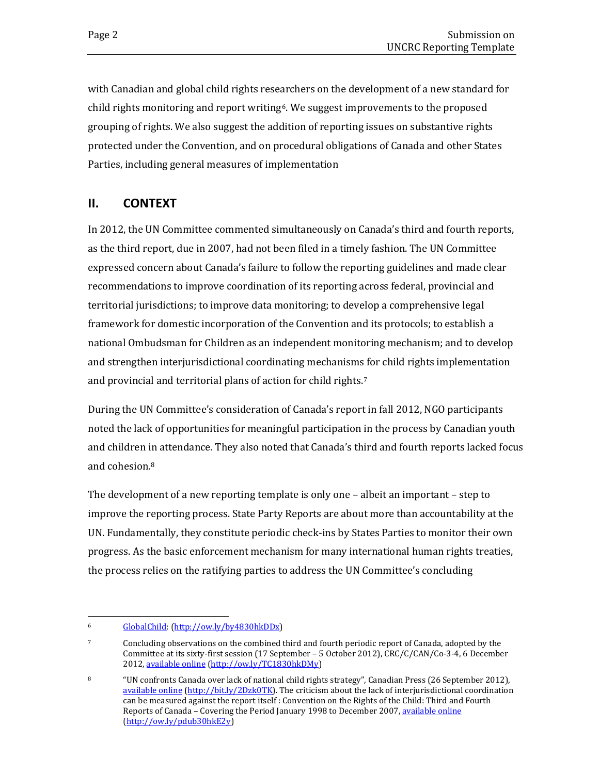with Canadian and global child rights researchers on the development of a new standard for child rights monitoring and report writing[6](#page-5-1). We suggest improvements to the proposed grouping of rights. We also suggest the addition of reporting issues on substantive rights protected under the Convention, and on procedural obligations of Canada and other States Parties, including general measures of implementation

## <span id="page-5-0"></span>**II. CONTEXT**

In 2012, the UN Committee commented simultaneously on Canada's third and fourth reports, as the third report, due in 2007, had not been filed in a timely fashion. The UN Committee expressed concern about Canada's failure to follow the reporting guidelines and made clear recommendations to improve coordination of its reporting across federal, provincial and territorial jurisdictions; to improve data monitoring; to develop a comprehensive legal framework for domestic incorporation of the Convention and its protocols; to establish a national Ombudsman for Children as an independent monitoring mechanism; and to develop and strengthen interjurisdictional coordinating mechanisms for child rights implementation and provincial and territorial plans of action for child rights.[7](#page-5-2)

During the UN Committee's consideration of Canada's report in fall 2012, NGO participants noted the lack of opportunities for meaningful participation in the process by Canadian youth and children i[n](#page-5-3) attendance. They also noted that Canada's third and fourth reports lacked focus and cohesion.8

The development of a new reporting template is only one – albeit an important – step to improve the reporting process. State Party Reports are about more than accountability at the UN. Fundamentally, they constitute periodic check-ins by States Parties to monitor their own progress. As the basic enforcement mechanism for many international human rights treaties, the process relies on the ratifying parties to address the UN Committee's concluding

<span id="page-5-1"></span> <sup>6</sup> [GlobalChild:](http://www.uvic.ca/news-management/stories/2016/global-child-vaghri/GlobalChild-2016.pdf) [\(http://ow.ly/by4830hkDDx\)](http://ow.ly/by4830hkDDx)

<span id="page-5-2"></span><sup>7</sup> Concluding observations on the combined third and fourth periodic report of Canada, adopted by the Committee at its sixty-first session (17 September – 5 October 2012), CRC/C/CAN/Co-3-4, 6 December 2012, [available online](http://tbinternet.ohchr.org/_layouts/treatybodyexternal/TBSearch.aspx?Lang=en&TreatyID=5&TreatyID=10&TreatyID=11&DocTypeID=5) [\(http://ow.ly/TC1830hkDMy\)](http://ow.ly/TC1830hkDMy)

<span id="page-5-3"></span><sup>8</sup> "UN confronts Canada over lack of national child rights strategy", Canadian Press (26 September 2012), [available online](http://www.ctvnews.ca/canada/un-confronts-canada-over-lack-of-national-child-rights-strategy-1.972414) [\(http://bit.ly/2Dzk0TK\)](http://bit.ly/2Dzk0TK). The criticism about the lack of interjurisdictional coordination can be measured against the report itself : Convention on the Rights of the Child: Third and Fourth Reports of Canada – Covering the Period January 1998 to December 2007, [available online](http://ow.ly/pdub30hkE2y) [\(http://ow.ly/pdub30hkE2y\)](http://ow.ly/pdub30hkE2y)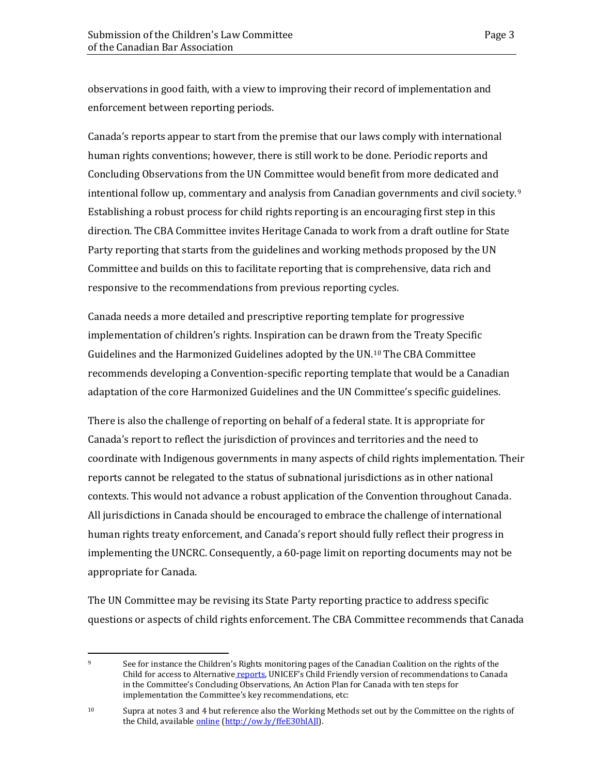observations in good faith, with a view to improving their record of implementation and enforcement between reporting periods.

Canada's reports appear to start from the premise that our laws comply with international human rights conventions; however, there is still work to be done. Periodic reports and Concluding Observations from the UN Committee would benefit from more dedicated and intentional follow up, commentary and analysis from Canadian governments and civil society.<sup>[9](#page-6-0)</sup> Establishing a robust process for child rights reporting is an encouraging first step in this direction. The CBA Committee invites Heritage Canada to work from a draft outline for State Party reporting that starts from the guidelines and working methods proposed by the UN Committee and builds on this to facilitate reporting that is comprehensive, data rich and responsive to the recommendations from previous reporting cycles.

Canada needs a more detailed and prescriptive reporting template for progressive implementation of children's rights. Inspiration can be drawn from the Treaty Specific Guidelines and the Harmonized Guidelines adopted by the UN.[10](#page-6-1) The CBA Committee recommends developing a Convention-specific reporting template that would be a Canadian adaptation of the core Harmonized Guidelines and the UN Committee's specific guidelines.

There is also the challenge of reporting on behalf of a federal state. It is appropriate for Canada's report to reflect the jurisdiction of provinces and territories and the need to coordinate with Indigenous governments in many aspects of child rights implementation. Their reports cannot be relegated to the status of subnational jurisdictions as in other national contexts. This would not advance a robust application of the Convention throughout Canada. All jurisdictions in Canada should be encouraged to embrace the challenge of international human rights treaty enforcement, and Canada's report should fully reflect their progress in implementing the UNCRC. Consequently, a 60-page limit on reporting documents may not be appropriate for Canada.

The UN Committee may be revising its State Party reporting practice to address specific questions or aspects of child rights enforcement. The CBA Committee recommends that Canada

<span id="page-6-0"></span> <sup>9</sup> See for instance the Children's Rights monitoring pages of the Canadian Coalition on the rights of the Child for access to Alternative [reports,](http://rightsofchildren.ca/resources/childrens-rights-monitoring/) UNICEF's Child Friendly version of recommendations to Canada in the Committee's Concluding Observations, An Action Plan for Canada with ten steps for implementation the Committee's key recommendations, etc:

<span id="page-6-1"></span><sup>&</sup>lt;sup>10</sup> Supra at notes 3 and 4 but reference also the Working Methods set out by the Committee on the rights of the Child, availabl[e online](http://www.ohchr.org/EN/HRBodies/CRC/Pages/WorkingMethods.aspx) [\(http://ow.ly/ffeE30hlAJl\)](http://ow.ly/ffeE30hlAJl).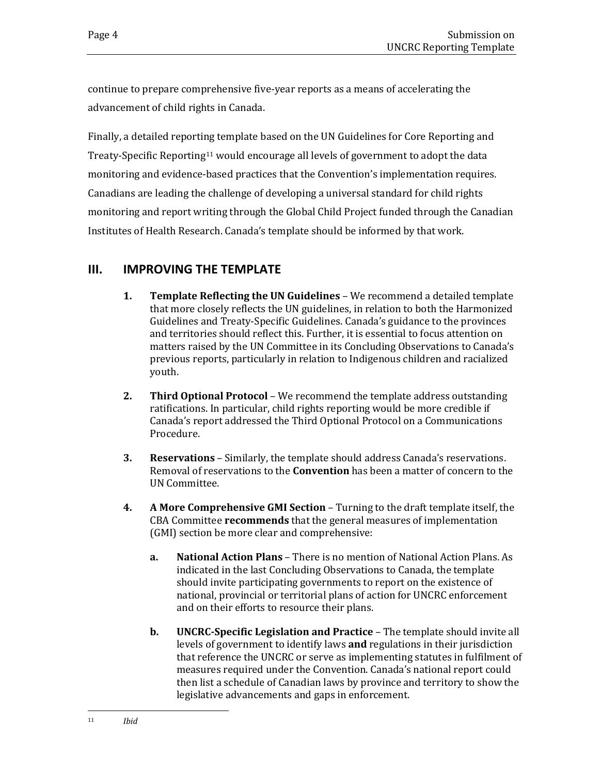continue to prepare comprehensive five-year reports as a means of accelerating the advancement of child rights in Canada.

Finally, a detailed reporting template based on the UN Guidelines for Core Reporting and Treaty-Specific Reporting<sup>[11](#page-7-1)</sup> would encourage all levels of government to adopt the data monitoring and evidence-based practices that the Convention's implementation requires. Canadians are leading the challenge of developing a universal standard for child rights monitoring and report writing through the Global Child Project funded through the Canadian Institutes of Health Research. Canada's template should be informed by that work.

## <span id="page-7-0"></span>**III. IMPROVING THE TEMPLATE**

- **1. Template Reflecting the UN Guidelines** We recommend a detailed template that more closely reflects the UN guidelines, in relation to both the Harmonized Guidelines and Treaty-Specific Guidelines. Canada's guidance to the provinces and territories should reflect this. Further, it is essential to focus attention on matters raised by the UN Committee in its Concluding Observations to Canada's previous reports, particularly in relation to Indigenous children and racialized youth.
- **2. Third Optional Protocol**  We recommend the template address outstanding ratifications. In particular, child rights reporting would be more credible if Canada's report addressed the Third Optional Protocol on a Communications Procedure.
- **3. Reservations**  Similarly, the template should address Canada's reservations. Removal of reservations to the **Convention** has been a matter of concern to the UN Committee.
- <span id="page-7-1"></span>**4. A More Comprehensive GMI Section** – Turning to the draft template itself, the CBA Committee **recommends** that the general measures of implementation (GMI) section be more clear and comprehensive:
	- **a. National Action Plans** There is no mention of National Action Plans. As indicated in the last Concluding Observations to Canada, the template should invite participating governments to report on the existence of national, provincial or territorial plans of action for UNCRC enforcement and on their efforts to resource their plans.
	- **b. UNCRC-Specific Legislation and Practice** The template should invite all levels of government to identify laws **and** regulations in their jurisdiction that reference the UNCRC or serve as implementing statutes in fulfilment of measures required under the Convention. Canada's national report could then list a schedule of Canadian laws by province and territory to show the legislative advancements and gaps in enforcement.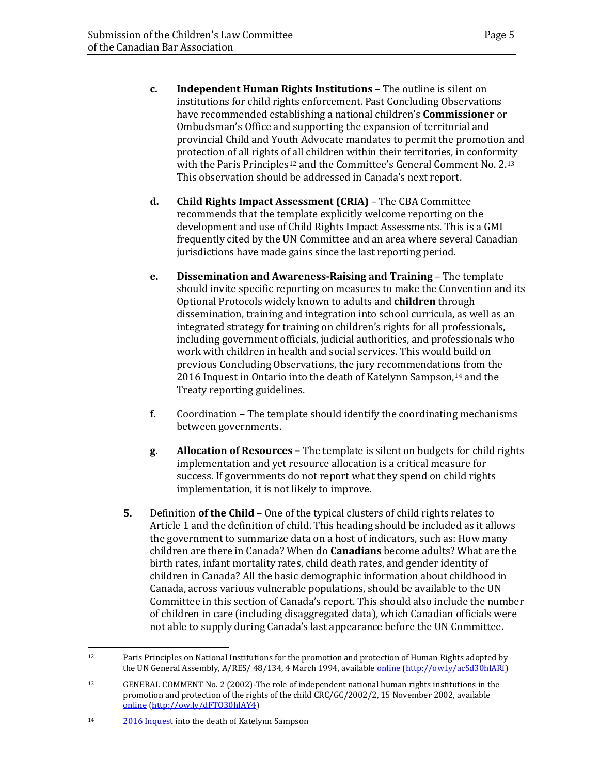- **c. Independent Human Rights Institutions** The outline is silent on institutions for child rights enforcement. Past Concluding Observations have recommended establishing a national children's **Commissioner** or Ombudsman's Office and supporting the expansion of territorial and provincial Child and Youth Advocate mandates to permit the promotion and protection of all rights o[f a](#page-8-0)ll children within their territories, in conformity with the Paris Principles<sup>12</sup> and the Committee's General Comment No. 2.<sup>[13](#page-8-1)</sup> This observation should be addressed in Canada's next report.
- **d. Child Rights Impact Assessment (CRIA)** The CBA Committee recommends that the template explicitly welcome reporting on the development and use of Child Rights Impact Assessments. This is a GMI frequently cited by the UN Committee and an area where several Canadian jurisdictions have made gains since the last reporting period.
- **e. Dissemination and Awareness-Raising and Training**  The template should invite specific reporting on measures to make the Convention and its Optional Protocols widely known to adults and **children** through dissemination, training and integration into school curricula, as well as an integrated strategy for training on children's rights for all professionals, including government officials, judicial authorities, and professionals who work with children in health and social services. This would build on previous Concluding Observations, the jury recommendatio[ns](#page-8-2) from the 2016 Inquest in Ontario into the death of Katelynn Sampson,<sup>14</sup> and the Treaty reporting guidelines.
- **f.** Coordination The template should identify the coordinating mechanisms between governments.
- **g. Allocation of Resources –** The template is silent on budgets for child rights implementation and yet resource allocation is a critical measure for success. If governments do not report what they spend on child rights implementation, it is not likely to improve.
- **5.** Definition **of the Child**  One of the typical clusters of child rights relates to Article 1 and the definition of child. This heading should be included as it allows the government to summarize data on a host of indicators, such as: How many children are there in Canada? When do **Canadians** become adults? What are the birth rates, infant mortality rates, child death rates, and gender identity of children in Canada? All the basic demographic information about childhood in Canada, across various vulnerable populations, should be available to the UN Committee in this section of Canada's report. This should also include the number of children in care (including disaggregated data), which Canadian officials were not able to supply during Canada's last appearance before the UN Committee.

<span id="page-8-0"></span> <sup>12</sup> Paris Principles on National Institutions for the promotion and protection of Human Rights adopted by the UN General Assembly, A/RES/ 48/134, 4 March 1994, availabl[e online](https://documents-dds-ny.un.org/doc/UNDOC/GEN/N94/116/24/PDF/N9411624.pdf?OpenElement) [\(http://ow.ly/acSd30hlARf\)](http://ow.ly/acSd30hlARf)

<span id="page-8-1"></span><sup>13</sup> GENERAL COMMENT No. 2 (2002)-The role of independent national human rights institutions in the promotion and protection of the rights of the child CRC/GC/2002/2, 15 November 2002, available [online](http://tbinternet.ohchr.org/_layouts/treatybodyexternal/TBSearch.aspx?Lang=en&TreatyID=5&DocTypeID=11) [\(http://ow.ly/dFTO30hlAY4\)](http://ow.ly/dFTO30hlAY4)

<span id="page-8-2"></span><sup>14</sup> [2016 Inquest](https://provincialadvocate.on.ca/documents/en/Katelynn-Sampson-inquest-recommendations.pdf) into the death of Katelynn Sampson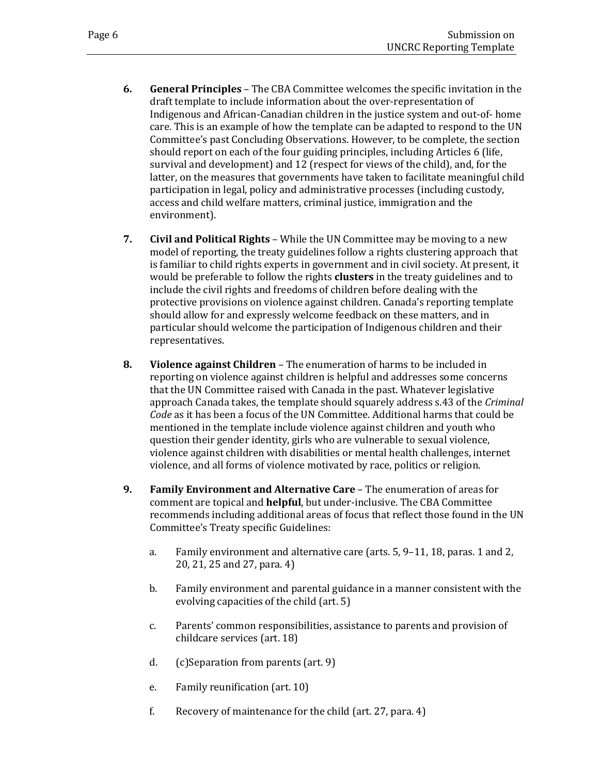- **6. General Principles**  The CBA Committee welcomes the specific invitation in the draft template to include information about the over-representation of Indigenous and African-Canadian children in the justice system and out-of- home care. This is an example of how the template can be adapted to respond to the UN Committee's past Concluding Observations. However, to be complete, the section should report on each of the four guiding principles, including Articles 6 (life, survival and development) and 12 (respect for views of the child), and, for the latter, on the measures that governments have taken to facilitate meaningful child participation in legal, policy and administrative processes (including custody, access and child welfare matters, criminal justice, immigration and the environment).
- **7. Civil and Political Rights**  While the UN Committee may be moving to a new model of reporting, the treaty guidelines follow a rights clustering approach that is familiar to child rights experts in government and in civil society. At present, it would be preferable to follow the rights **clusters** in the treaty guidelines and to include the civil rights and freedoms of children before dealing with the protective provisions on violence against children. Canada's reporting template should allow for and expressly welcome feedback on these matters, and in particular should welcome the participation of Indigenous children and their representatives.
- **8. Violence against Children** The enumeration of harms to be included in reporting on violence against children is helpful and addresses some concerns that the UN Committee raised with Canada in the past. Whatever legislative approach Canada takes, the template should squarely address s.43 of the *Criminal Code* as it has been a focus of the UN Committee. Additional harms that could be mentioned in the template include violence against children and youth who question their gender identity, girls who are vulnerable to sexual violence, violence against children with disabilities or mental health challenges, internet violence, and all forms of violence motivated by race, politics or religion.
- **9. Family Environment and Alternative Care**  The enumeration of areas for comment are topical and **helpful**, but under-inclusive. The CBA Committee recommends including additional areas of focus that reflect those found in the UN Committee's Treaty specific Guidelines:
	- a. Family environment and alternative care (arts. 5, 9–11, 18, paras. 1 and 2, 20, 21, 25 and 27, para. 4)
	- b. Family environment and parental guidance in a manner consistent with the evolving capacities of the child (art. 5)
	- c. Parents' common responsibilities, assistance to parents and provision of childcare services (art. 18)
	- d. (c)Separation from parents (art. 9)
	- e. Family reunification (art. 10)
	- f. Recovery of maintenance for the child (art. 27, para. 4)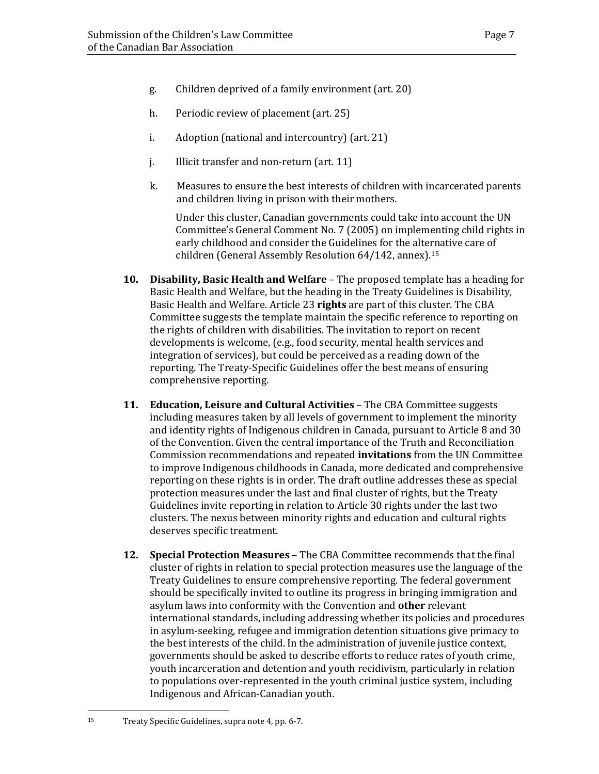- g. Children deprived of a family environment (art. 20)
- h. Periodic review of placement (art. 25)
- i. Adoption (national and intercountry) (art. 21)
- j. Illicit transfer and non-return (art. 11)
- k. Measures to ensure the best interests of children with incarcerated parents and children living in prison with their mothers.

Under this cluster, Canadian governments could take into account the UN Committee's General Comment No. 7 (2005) on implementing child rights in early childhood and consider the Guidelines for the alternative care of children (General Assembly Resolution 64/142, annex).[15](#page-10-0)

- **10. Disability, Basic Health and Welfare** The proposed template has a heading for Basic Health and Welfare, but the heading in the Treaty Guidelines is Disability, Basic Health and Welfare. Article 23 **rights** are part of this cluster. The CBA Committee suggests the template maintain the specific reference to reporting on the rights of children with disabilities. The invitation to report on recent developments is welcome, (e.g., food security, mental health services and integration of services), but could be perceived as a reading down of the reporting. The Treaty-Specific Guidelines offer the best means of ensuring comprehensive reporting.
- **11. Education, Leisure and Cultural Activities**  The CBA Committee suggests including measures taken by all levels of government to implement the minority and identity rights of Indigenous children in Canada, pursuant to Article 8 and 30 of the Convention. Given the central importance of the Truth and Reconciliation Commission recommendations and repeated **invitations** from the UN Committee to improve Indigenous childhoods in Canada, more dedicated and comprehensive reporting on these rights is in order. The draft outline addresses these as special protection measures under the last and final cluster of rights, but the Treaty Guidelines invite reporting in relation to Article 30 rights under the last two clusters. The nexus between minority rights and education and cultural rights deserves specific treatment.
- **12. Special Protection Measures** The CBA Committee recommends that the final cluster of rights in relation to special protection measures use the language of the Treaty Guidelines to ensure comprehensive reporting. The federal government should be specifically invited to outline its progress in bringing immigration and asylum laws into conformity with the Convention and **other** relevant international standards, including addressing whether its policies and procedures in asylum-seeking, refugee and immigration detention situations give primacy to the best interests of the child. In the administration of juvenile justice context, governments should be asked to describe efforts to reduce rates of youth crime, youth incarceration and detention and youth recidivism, particularly in relation to populations over-represented in the youth criminal justice system, including Indigenous and African-Canadian youth.

<span id="page-10-0"></span> <sup>15</sup> Treaty Specific Guidelines, supra note 4, pp. 6-7.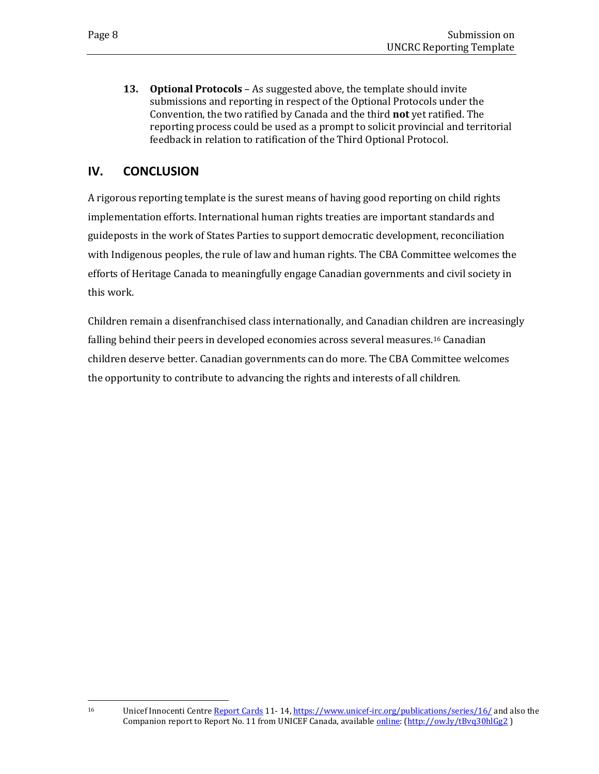**13. Optional Protocols** – As suggested above, the template should invite submissions and reporting in respect of the Optional Protocols under the Convention, the two ratified by Canada and the third **not** yet ratified. The reporting process could be used as a prompt to solicit provincial and territorial feedback in relation to ratification of the Third Optional Protocol.

### <span id="page-11-0"></span>**IV. CONCLUSION**

A rigorous reporting template is the surest means of having good reporting on child rights implementation efforts. International human rights treaties are important standards and guideposts in the work of States Parties to support democratic development, reconciliation with Indigenous peoples, the rule of law and human rights. The CBA Committee welcomes the efforts of Heritage Canada to meaningfully engage Canadian governments and civil society in this work.

Children remain a disenfranchised class internationally, and Canadian children are increasingly falling behind their peers in developed economies across several measures.[16](#page-11-1) Canadian children deserve better. Canadian governments can do more. The CBA Committee welcomes the opportunity to contribute to advancing the rights and interests of all children.

<span id="page-11-1"></span><sup>&</sup>lt;sup>16</sup> Unicef Innocenti Centr[e Report Cards](https://www.unicef-irc.org/publications/series/16/) 11-14[, https://www.unicef-irc.org/publications/series/16/](https://www.unicef-irc.org/publications/series/16/) and also the Companion report to Report No. 11 from UNICEF Canada, available [online:](http://www.unicef.ca/sites/default/files/imce_uploads/DISCOVER/OUR%20WORK/ADVOCACY/DOMESTIC/POLICY%20ADVOCACY/DOCS/unicef_rc_11_canadian_companion.pdf) [\(http://ow.ly/tBvq30hlGg2](http://ow.ly/tBvq30hlGg2))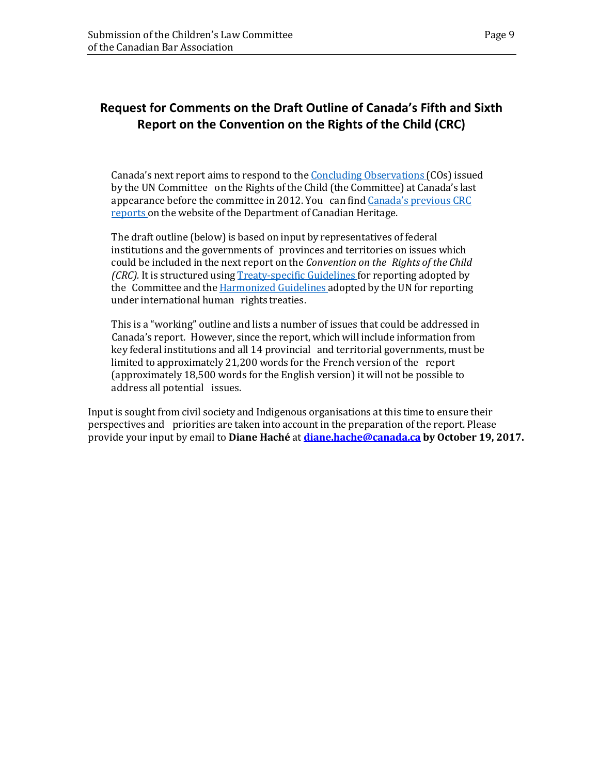# <span id="page-12-0"></span>**Request for Comments on the Draft Outline of Canada's Fifth and Sixth Report on the Convention on the Rights of the Child (CRC)**

Canada's next report aims to respond to the Concluding Observations (COs) issued by the UN Committee on the Rights of the Child (the Committee) at Canada's last appearance before the committee in 2012. You can find Canada's previous CRC reports on the website of the Department of Canadian Heritage.

The draft outline (below) is based on input by representatives of federal institutions and the governments of provinces and territories on issues which could be included in the next report on the *Convention on the Rights of the Child (CRC).* It is structured using Treaty-specific Guidelines for reporting adopted by the Committee and the **Harmonized Guidelines** adopted by the UN for reporting under international human rights treaties.

This is a "working" outline and lists a number of issues that could be addressed in Canada's report. However, since the report, which will include information from key federal institutions and all 14 provincial and territorial governments, must be limited to approximately 21,200 words for the French version of the report (approximately 18,500 words for the English version) it will not be possible to address all potential issues.

Input is sought from civil society and Indigenous organisations at this time to ensure their perspectives and priorities are taken into account in the preparation of the report. Please provide your input by email to **Diane Haché** at **[diane.hache@canada.ca](mailto:diane.hache@canada.ca) by October 19, 2017.**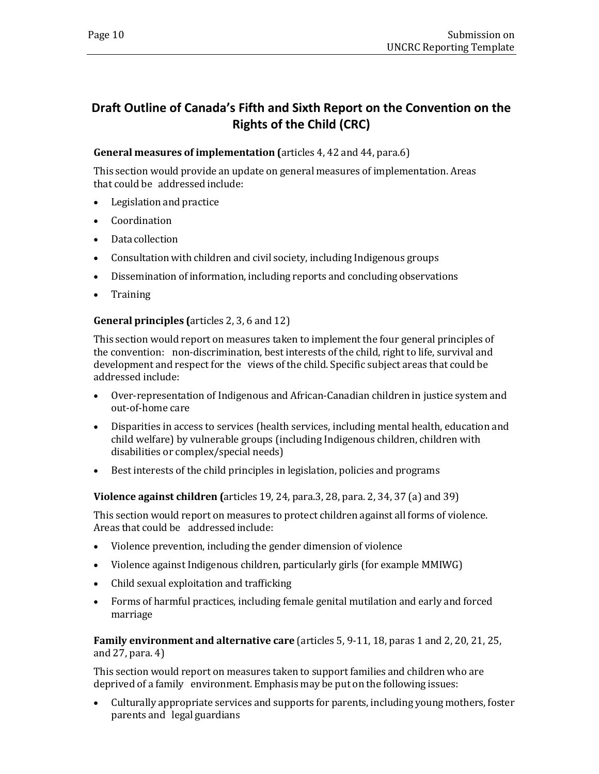# <span id="page-13-0"></span>**Draft Outline of Canada's Fifth and Sixth Report on the Convention on the Rights of the Child (CRC)**

#### **General measures of implementation (**articles 4, 42 and 44, para.6)

This section would provide an update on general measures of implementation. Areas that could be addressed include:

- Legislation and practice
- Coordination
- Data collection
- Consultation with children and civil society, including Indigenous groups
- Dissemination of information, including reports and concluding observations
- Training

#### **General principles (**articles 2, 3, 6 and 12)

This section would report on measures taken to implement the four general principles of the convention: non-discrimination, best interests of the child, right to life, survival and development and respect for the views of the child. Specific subject areas that could be addressed include:

- Over-representation of Indigenous and African-Canadian children in justice system and out-of-home care
- Disparities in access to services (health services, including mental health, education and child welfare) by vulnerable groups (including Indigenous children, children with disabilities or complex/special needs)
- Best interests of the child principles in legislation, policies and programs

**Violence against children (**articles 19, 24, para.3, 28, para. 2, 34, 37 (a) and 39)

This section would report on measures to protect children against all forms of violence. Areas that could be addressed include:

- Violence prevention, including the gender dimension of violence
- Violence against Indigenous children, particularly girls (for example MMIWG)
- Child sexual exploitation and trafficking
- Forms of harmful practices, including female genital mutilation and early and forced marriage

**Family environment and alternative care** (articles 5, 9-11, 18, paras 1 and 2, 20, 21, 25, and 27, para. 4)

This section would report on measures taken to support families and children who are deprived of a family environment. Emphasis may be put on the following issues:

• Culturally appropriate services and supports for parents, including young mothers, foster parents and legal guardians